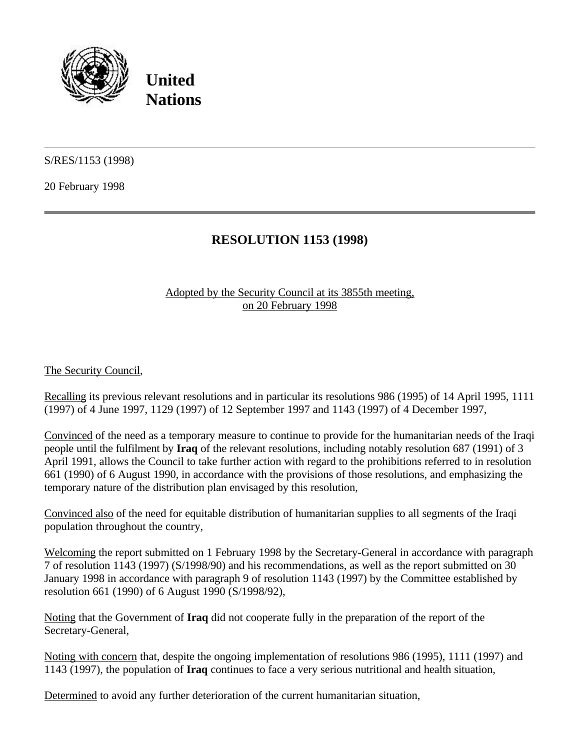

**United Nations**

S/RES/1153 (1998)

20 February 1998

## **RESOLUTION 1153 (1998)**

## Adopted by the Security Council at its 3855th meeting, on 20 February 1998

The Security Council,

Recalling its previous relevant resolutions and in particular its resolutions 986 (1995) of 14 April 1995, 1111 (1997) of 4 June 1997, 1129 (1997) of 12 September 1997 and 1143 (1997) of 4 December 1997,

Convinced of the need as a temporary measure to continue to provide for the humanitarian needs of the Iraqi people until the fulfilment by **Iraq** of the relevant resolutions, including notably resolution 687 (1991) of 3 April 1991, allows the Council to take further action with regard to the prohibitions referred to in resolution 661 (1990) of 6 August 1990, in accordance with the provisions of those resolutions, and emphasizing the temporary nature of the distribution plan envisaged by this resolution,

Convinced also of the need for equitable distribution of humanitarian supplies to all segments of the Iraqi population throughout the country,

Welcoming the report submitted on 1 February 1998 by the Secretary-General in accordance with paragraph 7 of resolution 1143 (1997) (S/1998/90) and his recommendations, as well as the report submitted on 30 January 1998 in accordance with paragraph 9 of resolution 1143 (1997) by the Committee established by resolution 661 (1990) of 6 August 1990 (S/1998/92),

Noting that the Government of **Iraq** did not cooperate fully in the preparation of the report of the Secretary-General,

Noting with concern that, despite the ongoing implementation of resolutions 986 (1995), 1111 (1997) and 1143 (1997), the population of **Iraq** continues to face a very serious nutritional and health situation,

Determined to avoid any further deterioration of the current humanitarian situation,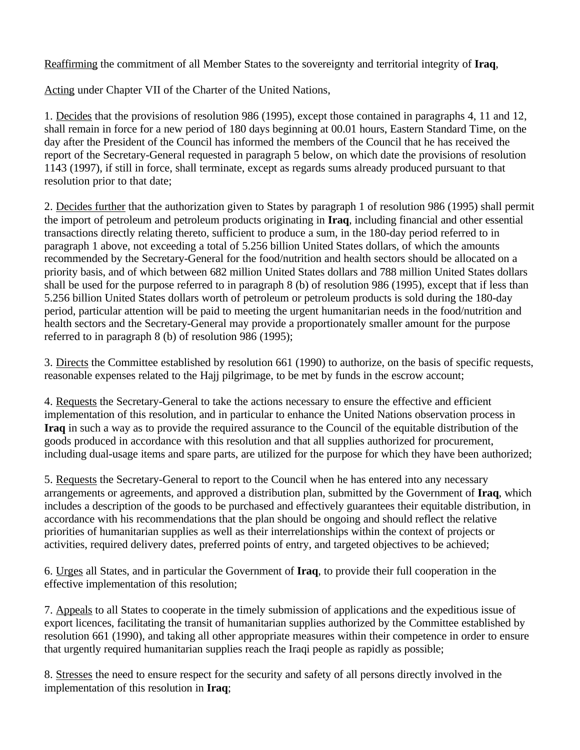Reaffirming the commitment of all Member States to the sovereignty and territorial integrity of **Iraq**,

Acting under Chapter VII of the Charter of the United Nations,

1. Decides that the provisions of resolution 986 (1995), except those contained in paragraphs 4, 11 and 12, shall remain in force for a new period of 180 days beginning at 00.01 hours, Eastern Standard Time, on the day after the President of the Council has informed the members of the Council that he has received the report of the Secretary-General requested in paragraph 5 below, on which date the provisions of resolution 1143 (1997), if still in force, shall terminate, except as regards sums already produced pursuant to that resolution prior to that date;

2. Decides further that the authorization given to States by paragraph 1 of resolution 986 (1995) shall permit the import of petroleum and petroleum products originating in **Iraq**, including financial and other essential transactions directly relating thereto, sufficient to produce a sum, in the 180-day period referred to in paragraph 1 above, not exceeding a total of 5.256 billion United States dollars, of which the amounts recommended by the Secretary-General for the food/nutrition and health sectors should be allocated on a priority basis, and of which between 682 million United States dollars and 788 million United States dollars shall be used for the purpose referred to in paragraph 8 (b) of resolution 986 (1995), except that if less than 5.256 billion United States dollars worth of petroleum or petroleum products is sold during the 180-day period, particular attention will be paid to meeting the urgent humanitarian needs in the food/nutrition and health sectors and the Secretary-General may provide a proportionately smaller amount for the purpose referred to in paragraph 8 (b) of resolution 986 (1995);

3. Directs the Committee established by resolution 661 (1990) to authorize, on the basis of specific requests, reasonable expenses related to the Hajj pilgrimage, to be met by funds in the escrow account;

4. Requests the Secretary-General to take the actions necessary to ensure the effective and efficient implementation of this resolution, and in particular to enhance the United Nations observation process in **Iraq** in such a way as to provide the required assurance to the Council of the equitable distribution of the goods produced in accordance with this resolution and that all supplies authorized for procurement, including dual-usage items and spare parts, are utilized for the purpose for which they have been authorized;

5. Requests the Secretary-General to report to the Council when he has entered into any necessary arrangements or agreements, and approved a distribution plan, submitted by the Government of **Iraq**, which includes a description of the goods to be purchased and effectively guarantees their equitable distribution, in accordance with his recommendations that the plan should be ongoing and should reflect the relative priorities of humanitarian supplies as well as their interrelationships within the context of projects or activities, required delivery dates, preferred points of entry, and targeted objectives to be achieved;

6. Urges all States, and in particular the Government of **Iraq**, to provide their full cooperation in the effective implementation of this resolution;

7. Appeals to all States to cooperate in the timely submission of applications and the expeditious issue of export licences, facilitating the transit of humanitarian supplies authorized by the Committee established by resolution 661 (1990), and taking all other appropriate measures within their competence in order to ensure that urgently required humanitarian supplies reach the Iraqi people as rapidly as possible;

8. Stresses the need to ensure respect for the security and safety of all persons directly involved in the implementation of this resolution in **Iraq**;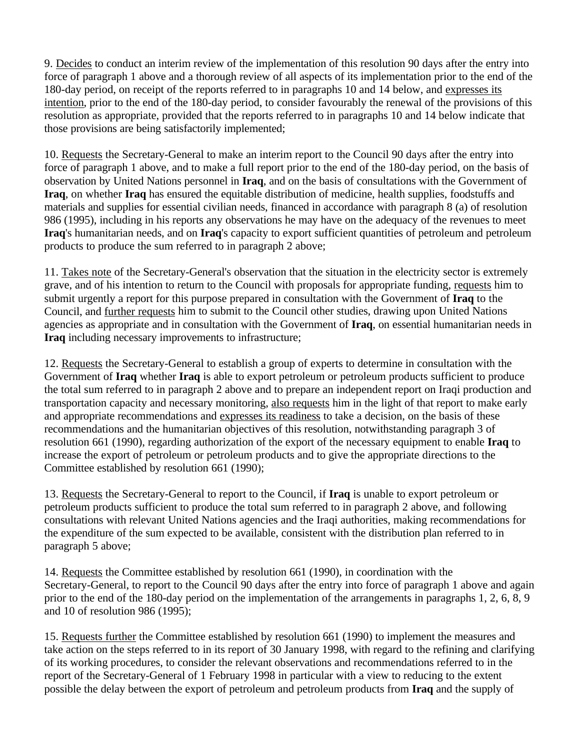9. Decides to conduct an interim review of the implementation of this resolution 90 days after the entry into force of paragraph 1 above and a thorough review of all aspects of its implementation prior to the end of the 180-day period, on receipt of the reports referred to in paragraphs 10 and 14 below, and expresses its intention, prior to the end of the 180-day period, to consider favourably the renewal of the provisions of this resolution as appropriate, provided that the reports referred to in paragraphs 10 and 14 below indicate that those provisions are being satisfactorily implemented;

10. Requests the Secretary-General to make an interim report to the Council 90 days after the entry into force of paragraph 1 above, and to make a full report prior to the end of the 180-day period, on the basis of observation by United Nations personnel in **Iraq**, and on the basis of consultations with the Government of **Iraq**, on whether **Iraq** has ensured the equitable distribution of medicine, health supplies, foodstuffs and materials and supplies for essential civilian needs, financed in accordance with paragraph 8 (a) of resolution 986 (1995), including in his reports any observations he may have on the adequacy of the revenues to meet **Iraq**'s humanitarian needs, and on **Iraq**'s capacity to export sufficient quantities of petroleum and petroleum products to produce the sum referred to in paragraph 2 above;

11. Takes note of the Secretary-General's observation that the situation in the electricity sector is extremely grave, and of his intention to return to the Council with proposals for appropriate funding, requests him to submit urgently a report for this purpose prepared in consultation with the Government of **Iraq** to the Council, and further requests him to submit to the Council other studies, drawing upon United Nations agencies as appropriate and in consultation with the Government of **Iraq**, on essential humanitarian needs in **Iraq** including necessary improvements to infrastructure;

12. Requests the Secretary-General to establish a group of experts to determine in consultation with the Government of **Iraq** whether **Iraq** is able to export petroleum or petroleum products sufficient to produce the total sum referred to in paragraph 2 above and to prepare an independent report on Iraqi production and transportation capacity and necessary monitoring, also requests him in the light of that report to make early and appropriate recommendations and expresses its readiness to take a decision, on the basis of these recommendations and the humanitarian objectives of this resolution, notwithstanding paragraph 3 of resolution 661 (1990), regarding authorization of the export of the necessary equipment to enable **Iraq** to increase the export of petroleum or petroleum products and to give the appropriate directions to the Committee established by resolution 661 (1990);

13. Requests the Secretary-General to report to the Council, if **Iraq** is unable to export petroleum or petroleum products sufficient to produce the total sum referred to in paragraph 2 above, and following consultations with relevant United Nations agencies and the Iraqi authorities, making recommendations for the expenditure of the sum expected to be available, consistent with the distribution plan referred to in paragraph 5 above;

14. Requests the Committee established by resolution 661 (1990), in coordination with the Secretary-General, to report to the Council 90 days after the entry into force of paragraph 1 above and again prior to the end of the 180-day period on the implementation of the arrangements in paragraphs 1, 2, 6, 8, 9 and 10 of resolution 986 (1995);

15. Requests further the Committee established by resolution 661 (1990) to implement the measures and take action on the steps referred to in its report of 30 January 1998, with regard to the refining and clarifying of its working procedures, to consider the relevant observations and recommendations referred to in the report of the Secretary-General of 1 February 1998 in particular with a view to reducing to the extent possible the delay between the export of petroleum and petroleum products from **Iraq** and the supply of